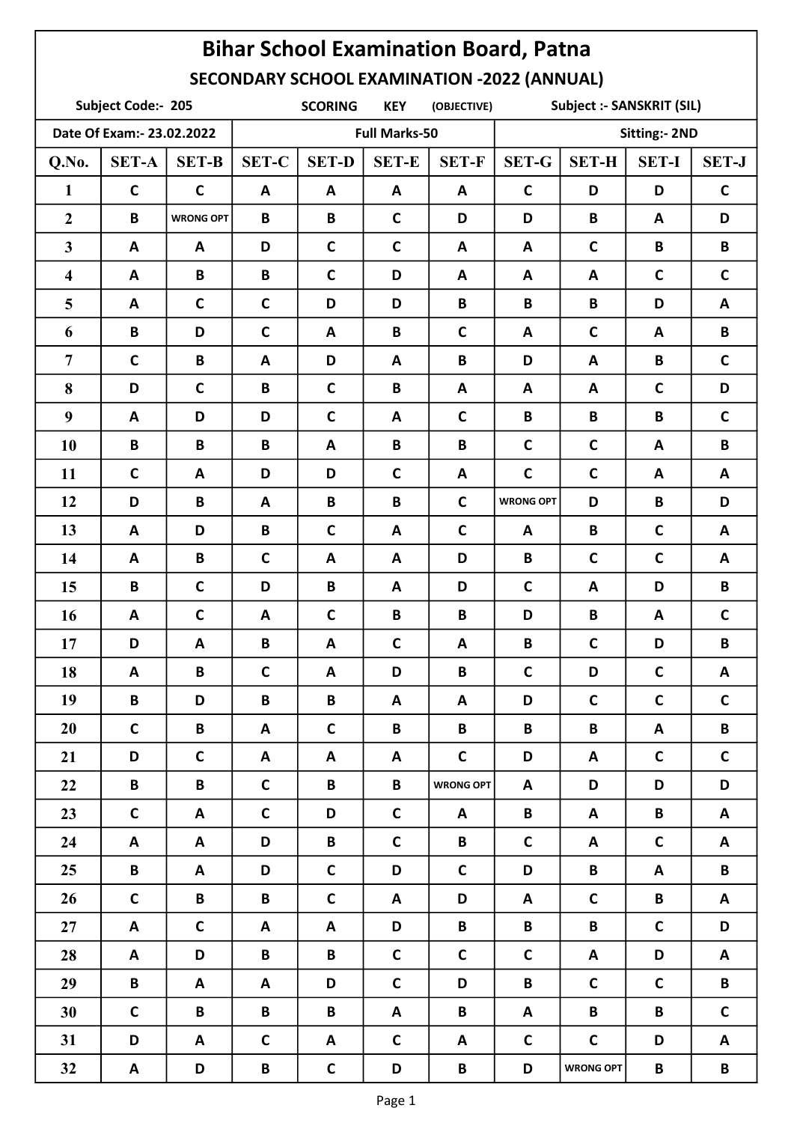| <b>Bihar School Examination Board, Patna</b>       |                    |                  |                                                                                 |              |              |                  |                      |                  |              |              |  |
|----------------------------------------------------|--------------------|------------------|---------------------------------------------------------------------------------|--------------|--------------|------------------|----------------------|------------------|--------------|--------------|--|
| <b>SECONDARY SCHOOL EXAMINATION -2022 (ANNUAL)</b> |                    |                  |                                                                                 |              |              |                  |                      |                  |              |              |  |
|                                                    | Subject Code:- 205 |                  | <b>Subject :- SANSKRIT (SIL)</b><br><b>SCORING</b><br><b>KEY</b><br>(OBJECTIVE) |              |              |                  |                      |                  |              |              |  |
| Date Of Exam:- 23.02.2022                          |                    |                  | <b>Full Marks-50</b>                                                            |              |              |                  | <b>Sitting:- 2ND</b> |                  |              |              |  |
| Q.No.                                              | <b>SET-A</b>       | <b>SET-B</b>     | <b>SET-C</b>                                                                    | <b>SET-D</b> | <b>SET-E</b> | <b>SET-F</b>     | <b>SET-G</b>         | <b>SET-H</b>     | <b>SET-I</b> | <b>SET-J</b> |  |
| $\mathbf{1}$                                       | $\mathsf{C}$       | $\mathbf C$      | A                                                                               | A            | A            | A                | $\mathbf C$          | D                | D            | $\mathsf{C}$ |  |
| $\overline{2}$                                     | B                  | <b>WRONG OPT</b> | B                                                                               | B            | $\mathsf{C}$ | D                | D                    | B                | A            | D            |  |
| $\mathbf{3}$                                       | A                  | A                | D                                                                               | $\mathbf C$  | $\mathbf C$  | A                | A                    | $\mathbf C$      | B            | B            |  |
| $\overline{\mathbf{4}}$                            | A                  | B                | B                                                                               | $\mathbf C$  | D            | A                | A                    | A                | $\mathbf C$  | $\mathsf{C}$ |  |
| 5                                                  | A                  | $\mathsf{C}$     | $\mathsf{C}$                                                                    | D            | D            | B                | B                    | B                | D            | A            |  |
| 6                                                  | B                  | D                | $\mathbf C$                                                                     | A            | B            | $\mathsf{C}$     | A                    | $\mathbf C$      | A            | B            |  |
| $\overline{7}$                                     | $\mathbf C$        | B                | A                                                                               | D            | A            | B                | D                    | $\mathbf{A}$     | B            | $\mathbf C$  |  |
| 8                                                  | D                  | $\mathbf C$      | B                                                                               | $\mathbf c$  | B            | A                | A                    | A                | $\mathsf{C}$ | D            |  |
| 9                                                  | A                  | D                | D                                                                               | $\mathbf C$  | A            | $\mathsf{C}$     | B                    | B                | B            | $\mathsf{C}$ |  |
| 10                                                 | B                  | B                | B                                                                               | A            | B            | B                | $\mathbf C$          | $\mathsf{C}$     | A            | B            |  |
| 11                                                 | $\mathbf C$        | A                | D                                                                               | D            | $\mathsf{C}$ | A                | $\mathbf C$          | $\mathbf c$      | A            | A            |  |
| 12                                                 | D                  | B                | A                                                                               | B            | B            | $\mathsf{C}$     | <b>WRONG OPT</b>     | D                | B            | D            |  |
| 13                                                 | A                  | D                | B                                                                               | $\mathbf C$  | $\mathbf{A}$ | $\mathsf{C}$     | A                    | B                | $\mathsf{C}$ | A            |  |
| 14                                                 | A                  | B                | $\mathsf{C}$                                                                    | A            | A            | D                | B                    | $\mathsf{C}$     | $\mathsf{C}$ | A            |  |
| 15                                                 | B                  | $\mathbf C$      | D                                                                               | B            | A            | D                | $\mathbf C$          | A                | D            | B            |  |
| 16                                                 | A                  | $\mathsf{C}$     | A                                                                               | $\mathbf c$  | B            | B                | D                    | B                | A            | $\mathbf C$  |  |
| 17                                                 | D                  | A                | B                                                                               | A            | C            | A                | B                    | $\mathsf{C}$     | D            | B            |  |
| 18                                                 | A                  | B                | $\mathsf{C}$                                                                    | A            | D            | B                | $\mathsf{C}$         | D                | $\mathbf C$  | A            |  |
| 19                                                 | $\mathbf B$        | D                | B                                                                               | $\mathbf B$  | A            | A                | D                    | $\mathsf{C}$     | $\mathsf{C}$ | $\mathsf{C}$ |  |
| 20                                                 | $\mathsf{C}$       | B                | A                                                                               | $\mathsf{C}$ | B            | B                | $\mathbf B$          | B                | A            | B            |  |
| 21                                                 | D                  | $\mathsf{C}$     | A                                                                               | A            | A            | $\mathsf{C}$     | D                    | A                | $\mathsf{C}$ | $\mathsf{C}$ |  |
| 22                                                 | B                  | B                | $\mathsf{C}$                                                                    | B            | B            | <b>WRONG OPT</b> | A                    | D                | D            | D            |  |
| 23                                                 | $\mathsf{C}$       | A                | $\mathsf{C}$                                                                    | D            | $\mathsf{C}$ | A                | B                    | A                | B            | A            |  |
| 24                                                 | A                  | A                | D                                                                               | B            | $\mathsf{C}$ | B                | $\mathsf{C}$         | A                | $\mathsf{C}$ | A            |  |
| 25                                                 | B                  | A                | D                                                                               | $\mathsf{C}$ | D            | $\mathsf{C}$     | D                    | B                | A            | B            |  |
| 26                                                 | $\mathsf{C}$       | B                | B                                                                               | $\mathsf{C}$ | A            | D                | A                    | $\mathsf{C}$     | B            | A            |  |
| 27                                                 | A                  | $\mathsf{C}$     | A                                                                               | A            | D            | B                | $\mathbf B$          | B                | $\mathsf{C}$ | D            |  |
| 28                                                 | A                  | D                | B                                                                               | $\mathbf{B}$ | $\mathsf{C}$ | $\mathsf{C}$     | $\mathsf{C}$         | A                | D            | A            |  |
| 29                                                 | B                  | A                | A                                                                               | D            | $\mathsf{C}$ | D                | $\mathbf B$          | $\mathsf{C}$     | $\mathsf{C}$ | B            |  |
| 30                                                 | $\mathsf{C}$       | B                | B                                                                               | B            | A            | B                | A                    | B                | B            | $\mathsf{C}$ |  |
| 31                                                 | D                  | A                | $\mathsf{C}$                                                                    | A            | $\mathsf{C}$ | A                | $\mathsf{C}$         | $\mathsf{C}$     | D            | A            |  |
| 32                                                 | A                  | D                | B                                                                               | $\mathsf{C}$ | D            | B                | D                    | <b>WRONG OPT</b> | B            | B            |  |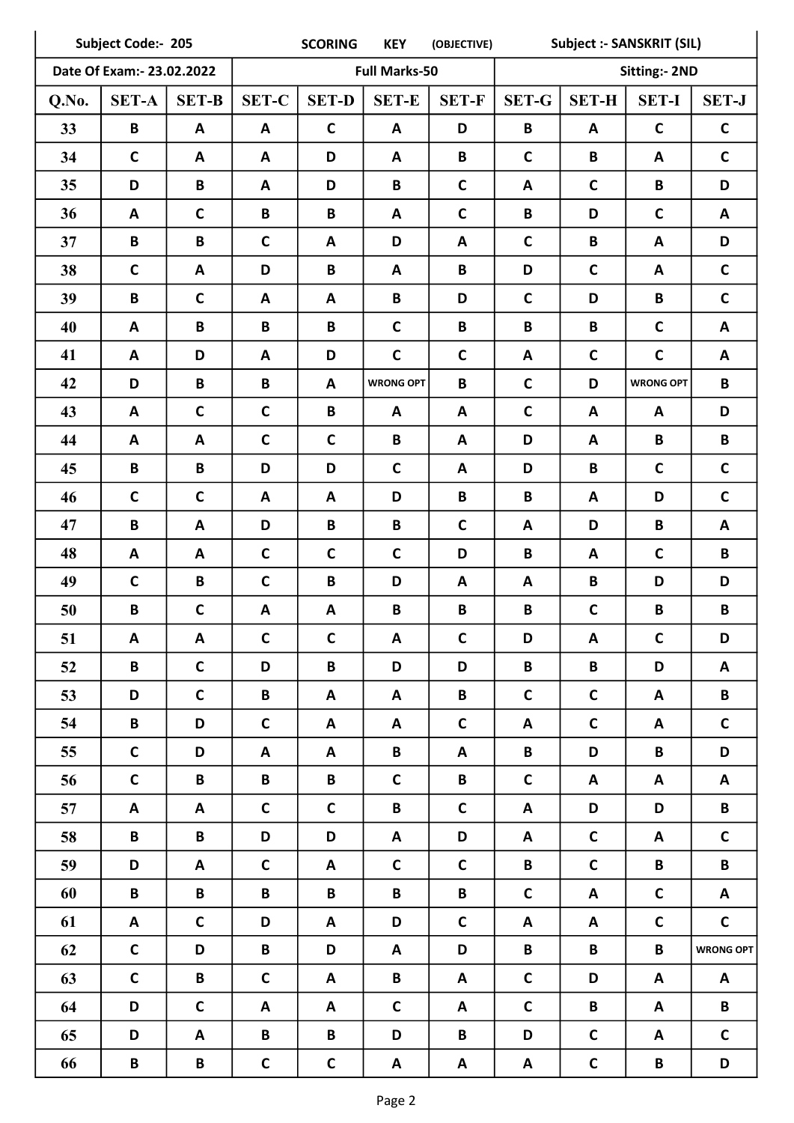| Subject Code:- 205        |              |                  |                      | <b>SCORING</b>  | <b>KEY</b>       | (OBJECTIVE)     | <b>Subject :- SANSKRIT (SIL)</b> |              |                      |                  |
|---------------------------|--------------|------------------|----------------------|-----------------|------------------|-----------------|----------------------------------|--------------|----------------------|------------------|
| Date Of Exam:- 23.02.2022 |              |                  | <b>Full Marks-50</b> |                 |                  |                 |                                  |              | <b>Sitting:- 2ND</b> |                  |
| Q.No.                     | <b>SET-A</b> | <b>SET-B</b>     | <b>SET-C</b>         | <b>SET-D</b>    | <b>SET-E</b>     | <b>SET-F</b>    | <b>SET-G</b>                     | <b>SET-H</b> | <b>SET-I</b>         | <b>SET-J</b>     |
| 33                        | B            | A                | A                    | $\mathsf{C}$    | A                | D               | B                                | A            | $\mathbf c$          | $\mathsf{C}$     |
| 34                        | $\mathbf C$  | A                | A                    | D               | A                | B               | $\mathbf C$                      | B            | A                    | $\mathsf{C}$     |
| 35                        | D            | B                | A                    | D               | B                | $\mathsf{C}$    | A                                | $\mathbf C$  | B                    | D                |
| 36                        | A            | $\mathbf C$      | B                    | $\, {\bf B}$    | A                | $\mathsf{C}$    | $\mathbf B$                      | D            | $\mathbf c$          | A                |
| 37                        | B            | B                | $\mathsf{C}$         | A               | D                | A               | $\mathsf{C}$                     | B            | A                    | D                |
| 38                        | $\mathbf C$  | A                | D                    | B               | A                | B               | D                                | $\mathbf C$  | A                    | $\mathbf C$      |
| 39                        | B            | $\mathbf C$      | A                    | A               | B                | D               | $\mathbf C$                      | D            | B                    | $\mathsf{C}$     |
| 40                        | A            | B                | B                    | $\, {\bf B}$    | $\mathbf C$      | B               | B                                | B            | $\mathsf{C}$         | A                |
| 41                        | A            | D                | A                    | D               | $\mathbf C$      | $\mathsf{C}$    | A                                | $\mathbf C$  | $\mathsf{C}$         | $\mathbf{A}$     |
| 42                        | D            | $\mathbf B$      | B                    | A               | <b>WRONG OPT</b> | B               | $\mathbf C$                      | D            | <b>WRONG OPT</b>     | B                |
| 43                        | A            | $\mathbf C$      | $\mathbf C$          | B               | $\mathbf{A}$     | A               | $\mathbf C$                      | A            | A                    | D                |
| 44                        | A            | $\boldsymbol{A}$ | $\mathbf C$          | $\mathbf C$     | B                | A               | D                                | A            | B                    | B                |
| 45                        | B            | $\mathbf B$      | D                    | D               | $\mathbf C$      | A               | D                                | $\, {\bf B}$ | $\mathsf{C}$         | $\mathbf C$      |
| 46                        | $\mathbf C$  | $\mathsf{C}$     | A                    | A               | D                | B               | B                                | A            | D                    | $\mathbf C$      |
| 47                        | B            | $\boldsymbol{A}$ | D                    | $\, {\bf B}$    | B                | $\mathsf{C}$    | A                                | D            | B                    | A                |
| 48                        | A            | A                | $\mathbf C$          | $\mathbf C$     | $\mathsf{C}$     | D               | B                                | A            | $\mathbf c$          | B                |
| 49                        | $\mathbf c$  | B                | $\mathbf C$          | $\, {\bf B}$    | D                | A               | A                                | B            | D                    | D                |
| 50                        | B            | $\mathbf C$      | A                    | A               | B                | B               | B                                | $\mathbf C$  | $\pmb B$             | B                |
| 51                        | A            | A                | $\mathsf C$          | $\mathbf C$     | $\mathsf{A}$     | $\mathsf C$     | D                                | A            | $\mathbf C$          | D                |
| 52                        | B            | $\mathsf{C}$     | D                    | $\, {\bf B} \,$ | D                | D               | $\mathbf B$                      | B            | D                    | A                |
| 53                        | D            | $\mathsf{C}$     | B                    | A               | A                | $\, {\bf B} \,$ | $\mathsf{C}$                     | $\mathsf{C}$ | A                    | B                |
| 54                        | B            | D                | $\mathsf{C}$         | A               | A                | $\mathsf{C}$    | A                                | $\mathsf{C}$ | A                    | $\mathsf{C}$     |
| 55                        | $\mathsf C$  | D                | A                    | A               | $\mathbf B$      | A               | $\mathbf{B}$                     | D            | $\mathbf B$          | D                |
| 56                        | $\mathsf{C}$ | $\, {\bf B} \,$  | $\, {\bf B} \,$      | $\mathsf B$     | $\mathsf{C}$     | $\, {\bf B} \,$ | $\mathsf{C}$                     | A            | A                    | A                |
| 57                        | A            | A                | $\mathsf C$          | $\mathsf{C}$    | B                | $\mathsf C$     | A                                | D            | D                    | B                |
| 58                        | B            | B                | D                    | D               | A                | D               | A                                | $\mathsf{C}$ | A                    | $\mathsf{C}$     |
| 59                        | D            | A                | $\mathsf{C}$         | A               | $\mathsf{C}$     | $\mathsf{C}$    | $\mathbf B$                      | $\mathsf{C}$ | B                    | B                |
| 60                        | B            | B                | B                    | $\mathbf B$     | B                | B               | $\mathsf{C}$                     | A            | $\mathsf{C}$         | A                |
| 61                        | A            | $\mathsf C$      | D                    | A               | D                | $\mathsf C$     | A                                | A            | $\mathsf{C}$         | $\mathsf{C}$     |
| 62                        | $\mathbf{C}$ | D                | B                    | D               | A                | D               | $\mathbf B$                      | B            | B                    | <b>WRONG OPT</b> |
| 63                        | $\mathbf C$  | B                | $\mathsf C$          | A               | B                | A               | $\mathsf{C}$                     | D            | A                    | A                |
| 64                        | D            | $\mathsf{C}$     | A                    | $\mathsf{A}$    | $\mathsf{C}$     | A               | $\mathsf{C}$                     | B            | A                    | B                |
| 65                        | D            | A                | $\mathbf B$          | $\, {\bf B} \,$ | D                | B               | D                                | $\mathsf{C}$ | A                    | $\mathsf{C}$     |
| 66                        | B            | B                | $\mathsf C$          | $\mathsf C$     | A                | A               | A                                | $\mathsf{C}$ | $\, {\bf B} \,$      | D                |